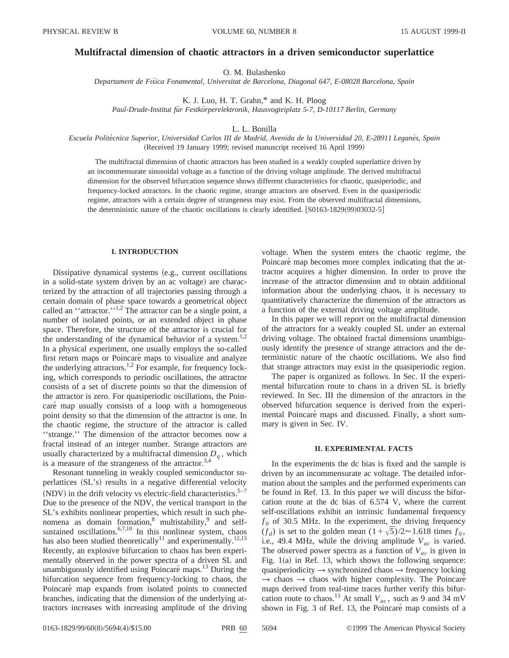# **Multifractal dimension of chaotic attractors in a driven semiconductor superlattice**

O. M. Bulashenko

*Departament de Fıs´ica Fonamental, Universitat de Barcelona, Diagonal 647, E-08028 Barcelona, Spain*

K. J. Luo, H. T. Grahn,\* and K. H. Ploog

Paul-Drude-Institut für Festkörperelektronik, Hausvogteiplatz 5-7, D-10117 Berlin, Germany

L. L. Bonilla

*Escuela Polite´cnica Superior, Universidad Carlos III de Madrid, Avenida de la Universidad 20, E-28911 Legane´s, Spain* (Received 19 January 1999; revised manuscript received 16 April 1999)

The multifractal dimension of chaotic attractors has been studied in a weakly coupled superlattice driven by an incommensurate sinusoidal voltage as a function of the driving voltage amplitude. The derived multifractal dimension for the observed bifurcation sequence shows different characteristics for chaotic, quasiperiodic, and frequency-locked attractors. In the chaotic regime, strange attractors are observed. Even in the quasiperiodic regime, attractors with a certain degree of strangeness may exist. From the observed multifractal dimensions, the deterministic nature of the chaotic oscillations is clearly identified.  $[**S**0163-1829(99)03032-5]$ 

## **I. INTRODUCTION**

Dissipative dynamical systems (e.g., current oscillations in a solid-state system driven by an ac voltage) are characterized by the attraction of all trajectories passing through a certain domain of phase space towards a geometrical object called an "attractor."<sup>1,2</sup> The attractor can be a single point, a number of isolated points, or an extended object in phase space. Therefore, the structure of the attractor is crucial for the understanding of the dynamical behavior of a system.<sup>1,2</sup> In a physical experiment, one usually employs the so-called first return maps or Poincaré maps to visualize and analyze the underlying attractors.<sup>1,2</sup> For example, for frequency locking, which corresponds to periodic oscillations, the attractor consists of a set of discrete points so that the dimension of the attractor is zero. For quasiperiodic oscillations, the Poincaré map usually consists of a loop with a homogeneous point density so that the dimension of the attractor is one. In the chaotic regime, the structure of the attractor is called ''strange.'' The dimension of the attractor becomes now a fractal instead of an integer number. Strange attractors are usually characterized by a multifractal dimension  $D<sub>a</sub>$ , which is a measure of the strangeness of the attractor. $3,4$ 

Resonant tunneling in weakly coupled semiconductor superlattices  $(SL's)$  results in a negative differential velocity (NDV) in the drift velocity vs electric-field characteristics.<sup>5–7</sup> Due to the presence of the NDV, the vertical transport in the SL's exhibits nonlinear properties, which result in such phenomena as domain formation,<sup>8</sup> multistability,<sup>9</sup> and selfsustained oscillations. $6,7,10$  In this nonlinear system, chaos has also been studied theoretically<sup>11</sup> and experimentally.<sup>12,13</sup> Recently, an explosive bifurcation to chaos has been experimentally observed in the power spectra of a driven SL and unambiguously identified using Poincaré maps. $^{13}$  During the bifurcation sequence from frequency-locking to chaos, the Poincaré map expands from isolated points to connected branches, indicating that the dimension of the underlying attractors increases with increasing amplitude of the driving voltage. When the system enters the chaotic regime, the Poincaré map becomes more complex indicating that the attractor acquires a higher dimension. In order to prove the increase of the attractor dimension and to obtain additional information about the underlying chaos, it is necessary to quantitatively characterize the dimension of the attractors as a function of the external driving voltage amplitude.

In this paper we will report on the multifractal dimension of the attractors for a weakly coupled SL under an external driving voltage. The obtained fractal dimensions unambiguously identify the presence of strange attractors and the deterministic nature of the chaotic oscillations. We also find that strange attractors may exist in the quasiperiodic region.

The paper is organized as follows. In Sec. II the experimental bifurcation route to chaos in a driven SL is briefly reviewed. In Sec. III the dimension of the attractors in the observed bifurcation sequence is derived from the experimental Poincaré maps and discussed. Finally, a short summary is given in Sec. IV.

## **II. EXPERIMENTAL FACTS**

In the experiments the dc bias is fixed and the sample is driven by an incommensurate ac voltage. The detailed information about the samples and the performed experiments can be found in Ref. 13. In this paper we will discuss the bifurcation route at the dc bias of 6.574 V, where the current self-oscillations exhibit an intrinsic fundamental frequency  $f_0$  of 30.5 MHz. In the experiment, the driving frequency  $(f_d)$  is set to the golden mean  $(1+\sqrt{5})/2 \approx 1.618$  times  $f_0$ , i.e., 49.4 MHz, while the driving amplitude  $V_{ac}$  is varied. The observed power spectra as a function of  $V_{ac}$  is given in Fig.  $1(a)$  in Ref. 13, which shows the following sequence: quasiperiodicity  $\rightarrow$  synchronized chaos  $\rightarrow$  frequency locking  $\rightarrow$  chaos  $\rightarrow$  chaos with higher complexity. The Poincaré maps derived from real-time traces further verify this bifurcation route to chaos.<sup>13</sup> At small  $V_{ac}$ , such as 9 and 34 mV shown in Fig. 3 of Ref. 13, the Poincaré map consists of a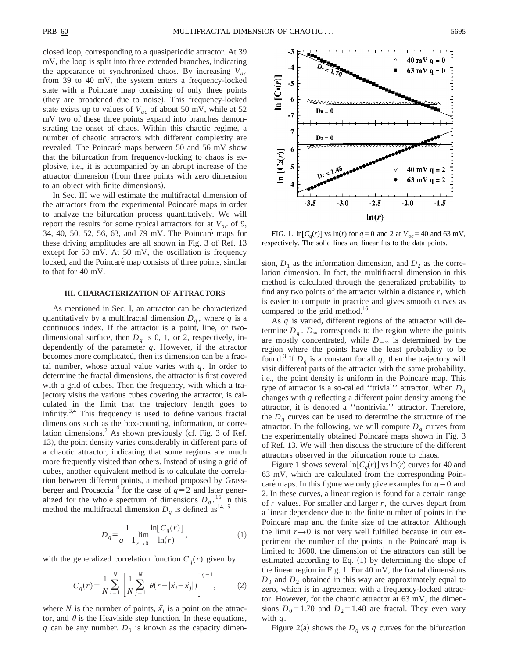closed loop, corresponding to a quasiperiodic attractor. At 39 mV, the loop is split into three extended branches, indicating the appearance of synchronized chaos. By increasing *Vac* from 39 to 40 mV, the system enters a frequency-locked state with a Poincaré map consisting of only three points (they are broadened due to noise). This frequency-locked state exists up to values of *Vac* of about 50 mV, while at 52 mV two of these three points expand into branches demonstrating the onset of chaos. Within this chaotic regime, a number of chaotic attractors with different complexity are revealed. The Poincaré maps between 50 and 56 mV show that the bifurcation from frequency-locking to chaos is explosive, i.e., it is accompanied by an abrupt increase of the attractor dimension (from three points with zero dimension to an object with finite dimensions).

In Sec. III we will estimate the multifractal dimension of the attractors from the experimental Poincaré maps in order to analyze the bifurcation process quantitatively. We will report the results for some typical attractors for at  $V_{ac}$  of 9, 34, 40, 50, 52, 56, 63, and 79 mV. The Poincaré maps for these driving amplitudes are all shown in Fig. 3 of Ref. 13 except for 50 mV. At 50 mV, the oscillation is frequency locked, and the Poincaré map consists of three points, similar to that for 40 mV.

#### **III. CHARACTERIZATION OF ATTRACTORS**

As mentioned in Sec. I, an attractor can be characterized quantitatively by a multifractal dimension  $D_q$ , where  $q$  is a continuous index. If the attractor is a point, line, or twodimensional surface, then  $D_q$  is 0, 1, or 2, respectively, independently of the parameter *q*. However, if the attractor becomes more complicated, then its dimension can be a fractal number, whose actual value varies with *q*. In order to determine the fractal dimensions, the attractor is first covered with a grid of cubes. Then the frequency, with which a trajectory visits the various cubes covering the attractor, is calculated in the limit that the trajectory length goes to infinity. $3,4$  This frequency is used to define various fractal dimensions such as the box-counting, information, or correlation dimensions.<sup>2</sup> As shown previously (cf. Fig. 3 of Ref. 13), the point density varies considerably in different parts of a chaotic attractor, indicating that some regions are much more frequently visited than others. Instead of using a grid of cubes, another equivalent method is to calculate the correlation between different points, a method proposed by Grassberger and Procaccia<sup>14</sup> for the case of  $q=2$  and later generalized for the whole spectrum of dimensions  $D_q$ .<sup>15</sup> In this method the multifractal dimension  $D_q$  is defined as <sup>14,15</sup>

$$
D_q = \frac{1}{q-1} \lim_{r \to 0} \frac{\ln[C_q(r)]}{\ln(r)},
$$
\n(1)

with the generalized correlation function  $C_q(r)$  given by

$$
C_q(r) = \frac{1}{N} \sum_{i=1}^{N} \left[ \frac{1}{N} \sum_{j=1}^{N} \theta(r - |\vec{x}_i - \vec{x}_j|) \right]^{q-1},
$$
 (2)

where *N* is the number of points,  $\vec{x_i}$  is a point on the attractor, and  $\theta$  is the Heaviside step function. In these equations,  $q$  can be any number.  $D_0$  is known as the capacity dimen-



FIG. 1.  $\ln [C_q(r)]$  vs  $\ln(r)$  for  $q = 0$  and 2 at  $V_{ac} = 40$  and 63 mV, respectively. The solid lines are linear fits to the data points.

sion,  $D_1$  as the information dimension, and  $D_2$  as the correlation dimension. In fact, the multifractal dimension in this method is calculated through the generalized probability to find any two points of the attractor within a distance *r*, which is easier to compute in practice and gives smooth curves as compared to the grid method.<sup>16</sup>

As *q* is varied, different regions of the attractor will determine  $D_q$ .  $D_\infty$  corresponds to the region where the points are mostly concentrated, while  $D_{-\infty}$  is determined by the region where the points have the least probability to be found.<sup>3</sup> If  $D_q$  is a constant for all  $q$ , then the trajectory will visit different parts of the attractor with the same probability, i.e., the point density is uniform in the Poincaré map. This type of attractor is a so-called "trivial" attractor. When  $D<sub>a</sub>$ changes with *q* reflecting a different point density among the attractor, it is denoted a ''nontrivial'' attractor. Therefore, the  $D_q$  curves can be used to determine the structure of the attractor. In the following, we will compute  $D<sub>a</sub>$  curves from the experimentally obtained Poincaré maps shown in Fig. 3 of Ref. 13. We will then discuss the structure of the different attractors observed in the bifurcation route to chaos.

Figure 1 shows several  $\ln[C_q(r)]$  vs  $\ln(r)$  curves for 40 and 63 mV, which are calculated from the corresponding Poincare maps. In this figure we only give examples for  $q=0$  and 2. In these curves, a linear region is found for a certain range of *r* values. For smaller and larger *r*, the curves depart from a linear dependence due to the finite number of points in the Poincaré map and the finite size of the attractor. Although the limit  $r \rightarrow 0$  is not very well fulfilled because in our experiment the number of the points in the Poincaré map is limited to 1600, the dimension of the attractors can still be estimated according to Eq.  $(1)$  by determining the slope of the linear region in Fig. 1. For 40 mV, the fractal dimensions  $D_0$  and  $D_2$  obtained in this way are approximately equal to zero, which is in agreement with a frequency-locked attractor. However, for the chaotic attractor at 63 mV, the dimensions  $D_0$ =1.70 and  $D_2$ =1.48 are fractal. They even vary with *q*.

Figure 2(a) shows the  $D_q$  vs  $q$  curves for the bifurcation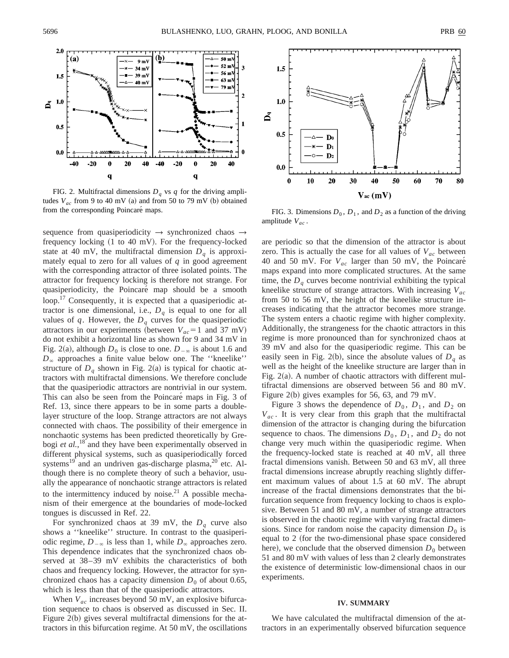

FIG. 2. Multifractal dimensions  $D_q$  vs  $q$  for the driving amplitudes  $V_{ac}$  from 9 to 40 mV (a) and from 50 to 79 mV (b) obtained from the corresponding Poincaré maps. FIG. 3. Dimensions  $D_0$ ,  $D_1$ , and  $D_2$  as a function of the driving

sequence from quasiperiodicity  $\rightarrow$  synchronized chaos  $\rightarrow$ frequency locking  $(1 \text{ to } 40 \text{ mV})$ . For the frequency-locked state at 40 mV, the multifractal dimension  $D<sub>a</sub>$  is approximately equal to zero for all values of  $q$  in good agreement with the corresponding attractor of three isolated points. The attractor for frequency locking is therefore not strange. For quasiperiodicity, the Poincaré map should be a smooth loop.17 Consequently, it is expected that a quasiperiodic attractor is one dimensional, i.e.,  $D_q$  is equal to one for all values of  $q$ . However, the  $D_q$  curves for the quasiperiodic attractors in our experiments (between  $V_{ac} = 1$  and 37 mV) do not exhibit a horizontal line as shown for 9 and 34 mV in Fig. 2(a), although  $D_0$  is close to one.  $D_{-\infty}$  is about 1.6 and  $D_{\infty}$  approaches a finite value below one. The "kneelike" structure of  $D_q$  shown in Fig. 2(a) is typical for chaotic attractors with multifractal dimensions. We therefore conclude that the quasiperiodic attractors are nontrivial in our system. This can also be seen from the Poincaré maps in Fig. 3 of Ref. 13, since there appears to be in some parts a doublelayer structure of the loop. Strange attractors are not always connected with chaos. The possibility of their emergence in nonchaotic systems has been predicted theoretically by Grebogi *et al.*,<sup>18</sup> and they have been experimentally observed in different physical systems, such as quasiperiodically forced systems<sup>19</sup> and an undriven gas-discharge plasma,<sup>20</sup> etc. Although there is no complete theory of such a behavior, usually the appearance of nonchaotic strange attractors is related to the intermittency induced by noise.<sup>21</sup> A possible mechanism of their emergence at the boundaries of mode-locked tongues is discussed in Ref. 22.

For synchronized chaos at 39 mV, the  $D_q$  curve also shows a ''kneelike'' structure. In contrast to the quasiperiodic regime,  $D_{-\infty}$  is less than 1, while  $D_{\infty}$  approaches zero. This dependence indicates that the synchronized chaos observed at 38–39 mV exhibits the characteristics of both chaos and frequency locking. However, the attractor for synchronized chaos has a capacity dimension  $D_0$  of about 0.65, which is less than that of the quasiperiodic attractors.

When  $V_{ac}$  increases beyond 50 mV, an explosive bifurcation sequence to chaos is observed as discussed in Sec. II. Figure  $2(b)$  gives several multifractal dimensions for the attractors in this bifurcation regime. At 50 mV, the oscillations



amplitude *Vac* .

are periodic so that the dimension of the attractor is about zero. This is actually the case for all values of  $V_{ac}$  between 40 and 50 mV. For *Vac* larger than 50 mV, the Poincare´ maps expand into more complicated structures. At the same time, the  $D_q$  curves become nontrivial exhibiting the typical kneelike structure of strange attractors. With increasing *Vac* from 50 to 56 mV, the height of the kneelike structure increases indicating that the attractor becomes more strange. The system enters a chaotic regime with higher complexity. Additionally, the strangeness for the chaotic attractors in this regime is more pronounced than for synchronized chaos at 39 mV and also for the quasiperiodic regime. This can be easily seen in Fig. 2(b), since the absolute values of  $D<sub>a</sub>$  as well as the height of the kneelike structure are larger than in Fig.  $2(a)$ . A number of chaotic attractors with different multifractal dimensions are observed between 56 and 80 mV. Figure 2(b) gives examples for 56, 63, and 79 mV.

Figure 3 shows the dependence of  $D_0$ ,  $D_1$ , and  $D_2$  on *Vac* . It is very clear from this graph that the multifractal dimension of the attractor is changing during the bifurcation sequence to chaos. The dimensions  $D_0$ ,  $D_1$ , and  $D_2$  do not change very much within the quasiperiodic regime. When the frequency-locked state is reached at 40 mV, all three fractal dimensions vanish. Between 50 and 63 mV, all three fractal dimensions increase abruptly reaching slightly different maximum values of about 1.5 at 60 mV. The abrupt increase of the fractal dimensions demonstrates that the bifurcation sequence from frequency locking to chaos is explosive. Between 51 and 80 mV, a number of strange attractors is observed in the chaotic regime with varying fractal dimensions. Since for random noise the capacity dimension  $D_0$  is equal to 2 (for the two-dimensional phase space considered here), we conclude that the observed dimension  $D_0$  between 51 and 80 mV with values of less than 2 clearly demonstrates the existence of deterministic low-dimensional chaos in our experiments.

## **IV. SUMMARY**

We have calculated the multifractal dimension of the attractors in an experimentally observed bifurcation sequence